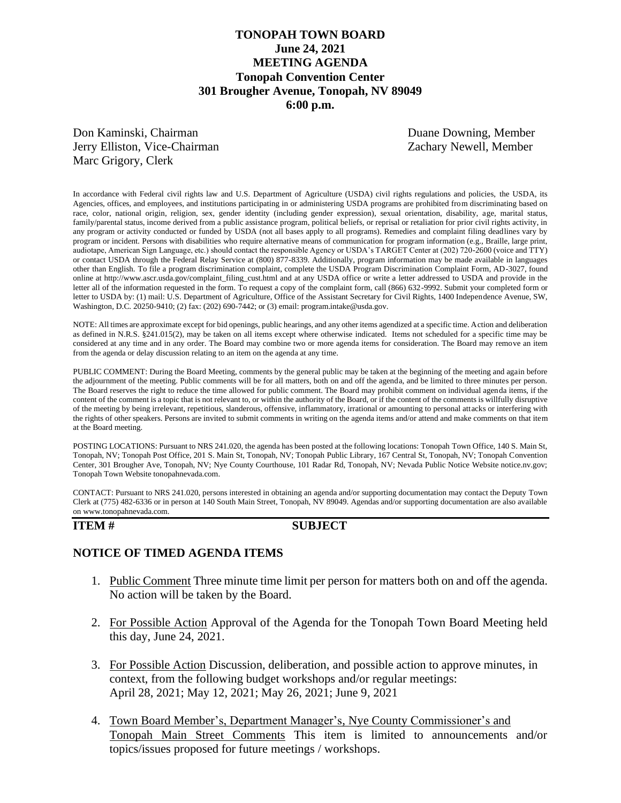# **TONOPAH TOWN BOARD June 24, 2021 MEETING AGENDA Tonopah Convention Center 301 Brougher Avenue, Tonopah, NV 89049 6:00 p.m.**

Don Kaminski, Chairman Duane Downing, Member Jerry Elliston, Vice-Chairman Zachary Newell, Member Marc Grigory, Clerk

In accordance with Federal civil rights law and U.S. Department of Agriculture (USDA) civil rights regulations and policies, the USDA, its Agencies, offices, and employees, and institutions participating in or administering USDA programs are prohibited from discriminating based on race, color, national origin, religion, sex, gender identity (including gender expression), sexual orientation, disability, age, marital status, family/parental status, income derived from a public assistance program, political beliefs, or reprisal or retaliation for prior civil rights activity, in any program or activity conducted or funded by USDA (not all bases apply to all programs). Remedies and complaint filing deadlines vary by program or incident. Persons with disabilities who require alternative means of communication for program information (e.g., Braille, large print, audiotape, American Sign Language, etc.) should contact the responsible Agency or USDA's TARGET Center at (202) 720-2600 (voice and TTY) or contact USDA through the Federal Relay Service at (800) 877-8339. Additionally, program information may be made available in languages other than English. To file a program discrimination complaint, complete the USDA Program Discrimination Complaint Form, AD-3027, found online at http://www.ascr.usda.gov/complaint\_filing\_cust.html and at any USDA office or write a letter addressed to USDA and provide in the letter all of the information requested in the form. To request a copy of the complaint form, call (866) 632-9992. Submit your completed form or letter to USDA by: (1) mail: U.S. Department of Agriculture, Office of the Assistant Secretary for Civil Rights, 1400 Independence Avenue, SW, Washington, D.C. 20250-9410; (2) fax: (202) 690-7442; or (3) email: program.intake@usda.gov.

NOTE: All times are approximate except for bid openings, public hearings, and any other items agendized at a specific time. Action and deliberation as defined in N.R.S. §241.015(2), may be taken on all items except where otherwise indicated. Items not scheduled for a specific time may be considered at any time and in any order. The Board may combine two or more agenda items for consideration. The Board may remove an item from the agenda or delay discussion relating to an item on the agenda at any time.

PUBLIC COMMENT: During the Board Meeting, comments by the general public may be taken at the beginning of the meeting and again before the adjournment of the meeting. Public comments will be for all matters, both on and off the agenda, and be limited to three minutes per person. The Board reserves the right to reduce the time allowed for public comment. The Board may prohibit comment on individual agenda items, if the content of the comment is a topic that is not relevant to, or within the authority of the Board, or if the content of the comments is willfully disruptive of the meeting by being irrelevant, repetitious, slanderous, offensive, inflammatory, irrational or amounting to personal attacks or interfering with the rights of other speakers. Persons are invited to submit comments in writing on the agenda items and/or attend and make comments on that item at the Board meeting.

POSTING LOCATIONS: Pursuant to NRS 241.020, the agenda has been posted at the following locations: Tonopah Town Office, 140 S. Main St, Tonopah, NV; Tonopah Post Office, 201 S. Main St, Tonopah, NV; Tonopah Public Library, 167 Central St, Tonopah, NV; Tonopah Convention Center, 301 Brougher Ave, Tonopah, NV; Nye County Courthouse, 101 Radar Rd, Tonopah, NV; Nevada Public Notice Website notice.nv.gov; Tonopah Town Website tonopahnevada.com.

CONTACT: Pursuant to NRS 241.020, persons interested in obtaining an agenda and/or supporting documentation may contact the Deputy Town Clerk at (775) 482-6336 or in person at 140 South Main Street, Tonopah, NV 89049. Agendas and/or supporting documentation are also available on www.tonopahnevada.com.

### **ITEM # SUBJECT**

## **NOTICE OF TIMED AGENDA ITEMS**

- 1. Public Comment Three minute time limit per person for matters both on and off the agenda. No action will be taken by the Board.
- 2. For Possible Action Approval of the Agenda for the Tonopah Town Board Meeting held this day, June 24, 2021.
- 3. For Possible Action Discussion, deliberation, and possible action to approve minutes, in context, from the following budget workshops and/or regular meetings: April 28, 2021; May 12, 2021; May 26, 2021; June 9, 2021
- 4. Town Board Member's, Department Manager's, Nye County Commissioner's and Tonopah Main Street Comments This item is limited to announcements and/or topics/issues proposed for future meetings / workshops.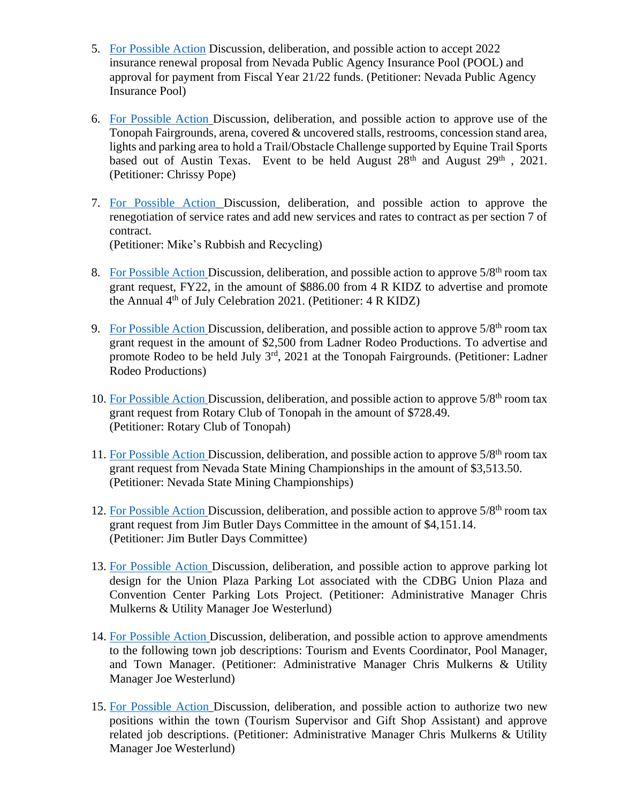- 5. [For Possible Action](https://www.tonopahnevada.com/agendas/backup-2021/6-24-2021-item-5.pdf) Discussion, deliberation, and possible action to accept 2022 insurance renewal proposal from Nevada Public Agency Insurance Pool (POOL) and approval for payment from Fiscal Year 21/22 funds. (Petitioner: Nevada Public Agency Insurance Pool)
- 6. [For Possible Action](https://www.tonopahnevada.com/agendas/backup-2021/6-24-2021-item-6.pdf) Discussion, deliberation, and possible action to approve use of the Tonopah Fairgrounds, arena, covered & uncovered stalls, restrooms, concession stand area, lights and parking area to hold a Trail/Obstacle Challenge supported by Equine Trail Sports based out of Austin Texas. Event to be held August 28<sup>th</sup> and August 29<sup>th</sup>, 2021. (Petitioner: Chrissy Pope)
- 7. [For Possible Action](https://www.tonopahnevada.com/agendas/backup-2021/6-24-2021-item-7.pdf) Discussion, deliberation, and possible action to approve the renegotiation of service rates and add new services and rates to contract as per section 7 of contract. (Petitioner: Mike's Rubbish and Recycling)
- 8. [For Possible Action](https://www.tonopahnevada.com/agendas/backup-2021/6-24-2021-item-8.pdf) Discussion, deliberation, and possible action to approve  $5/8<sup>th</sup>$  room tax grant request, FY22, in the amount of \$886.00 from 4 R KIDZ to advertise and promote the Annual  $4<sup>th</sup>$  of July Celebration 2021. (Petitioner:  $4 R$  KIDZ)
- 9. [For Possible Action](https://www.tonopahnevada.com/agendas/backup-2021/6-24-2021-item-9.pdf) Discussion, deliberation, and possible action to approve  $5/8<sup>th</sup>$  room tax grant request in the amount of \$2,500 from Ladner Rodeo Productions. To advertise and promote Rodeo to be held July 3rd, 2021 at the Tonopah Fairgrounds. (Petitioner: Ladner Rodeo Productions)
- 10. [For Possible Action](https://www.tonopahnevada.com/agendas/backup-2021/6-24-2021-item-10.pdf) Discussion, deliberation, and possible action to approve  $5/8<sup>th</sup>$  room tax grant request from Rotary Club of Tonopah in the amount of \$728.49. (Petitioner: Rotary Club of Tonopah)
- 11. [For Possible Action](https://www.tonopahnevada.com/agendas/backup-2021/6-24-2021-item-11.pdf) Discussion, deliberation, and possible action to approve 5/8<sup>th</sup> room tax grant request from Nevada State Mining Championships in the amount of \$3,513.50. (Petitioner: Nevada State Mining Championships)
- 12. [For Possible Action](https://www.tonopahnevada.com/agendas/backup-2021/6-24-2021-item-12.pdf) Discussion, deliberation, and possible action to approve  $5/8<sup>th</sup>$  room tax grant request from Jim Butler Days Committee in the amount of \$4,151.14. (Petitioner: Jim Butler Days Committee)
- 13. [For Possible Action](https://www.tonopahnevada.com/agendas/backup-2021/6-24-2021-item-13.pdf) Discussion, deliberation, and possible action to approve parking lot design for the Union Plaza Parking Lot associated with the CDBG Union Plaza and Convention Center Parking Lots Project. (Petitioner: Administrative Manager Chris Mulkerns & Utility Manager Joe Westerlund)
- 14. [For Possible Action](https://www.tonopahnevada.com/agendas/backup-2021/6-24-2021-item-14.pdf) Discussion, deliberation, and possible action to approve amendments to the following town job descriptions: Tourism and Events Coordinator, Pool Manager, and Town Manager. (Petitioner: Administrative Manager Chris Mulkerns & Utility Manager Joe Westerlund)
- 15. [For Possible Action](https://www.tonopahnevada.com/agendas/backup-2021/6-24-2021-item-15.pdf) Discussion, deliberation, and possible action to authorize two new positions within the town (Tourism Supervisor and Gift Shop Assistant) and approve related job descriptions. (Petitioner: Administrative Manager Chris Mulkerns & Utility Manager Joe Westerlund)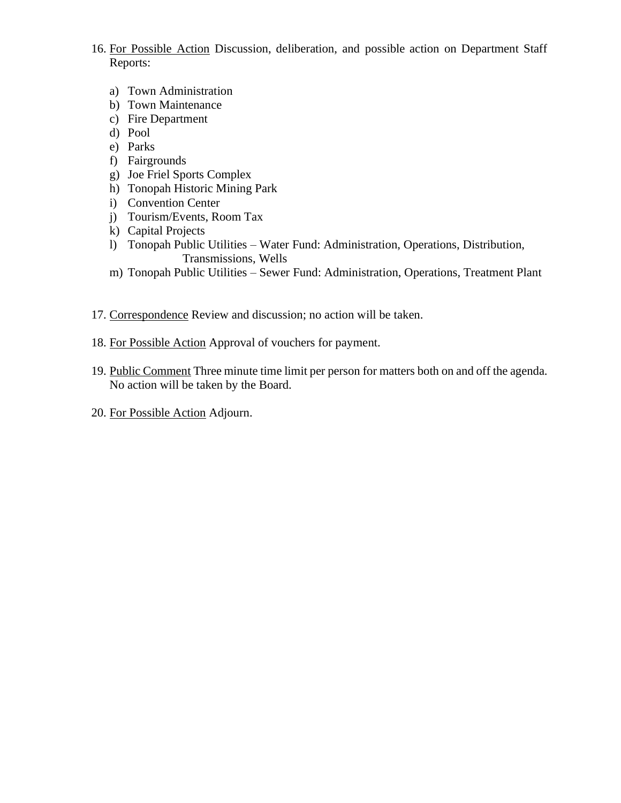- 16. For Possible Action Discussion, deliberation, and possible action on Department Staff Reports:
	- a) Town Administration
	- b) Town Maintenance
	- c) Fire Department
	- d) Pool
	- e) Parks
	- f) Fairgrounds
	- g) Joe Friel Sports Complex
	- h) Tonopah Historic Mining Park
	- i) Convention Center
	- j) Tourism/Events, Room Tax
	- k) Capital Projects
	- l) Tonopah Public Utilities Water Fund: Administration, Operations, Distribution, Transmissions, Wells
	- m) Tonopah Public Utilities Sewer Fund: Administration, Operations, Treatment Plant
- 17. Correspondence Review and discussion; no action will be taken.
- 18. For Possible Action Approval of vouchers for payment.
- 19. Public Comment Three minute time limit per person for matters both on and off the agenda. No action will be taken by the Board.
- 20. For Possible Action Adjourn.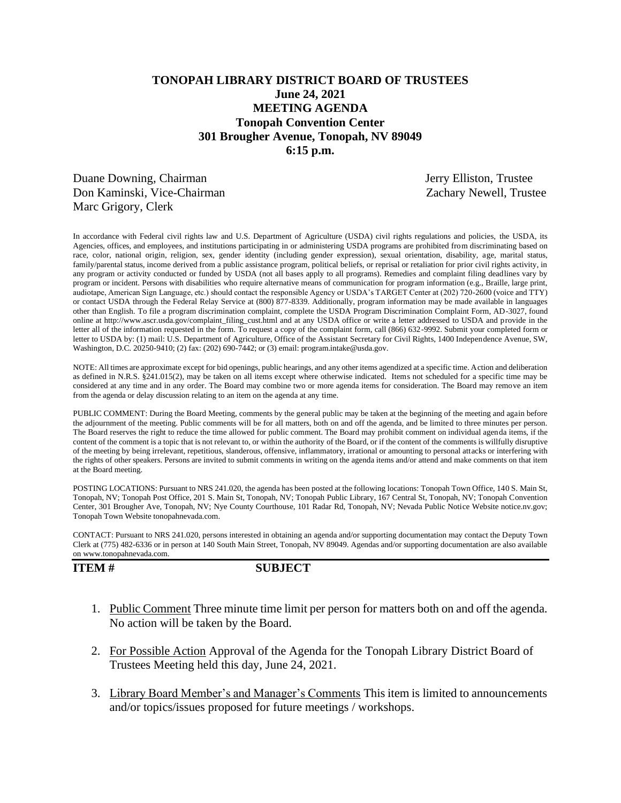# **TONOPAH LIBRARY DISTRICT BOARD OF TRUSTEES June 24, 2021 MEETING AGENDA Tonopah Convention Center 301 Brougher Avenue, Tonopah, NV 89049 6:15 p.m.**

Duane Downing, Chairman Jerry Elliston, Trustee Don Kaminski, Vice-Chairman Zachary Newell, Trustee Marc Grigory, Clerk

In accordance with Federal civil rights law and U.S. Department of Agriculture (USDA) civil rights regulations and policies, the USDA, its Agencies, offices, and employees, and institutions participating in or administering USDA programs are prohibited from discriminating based on race, color, national origin, religion, sex, gender identity (including gender expression), sexual orientation, disability, age, marital status, family/parental status, income derived from a public assistance program, political beliefs, or reprisal or retaliation for prior civil rights activity, in any program or activity conducted or funded by USDA (not all bases apply to all programs). Remedies and complaint filing deadlines vary by program or incident. Persons with disabilities who require alternative means of communication for program information (e.g., Braille, large print, audiotape, American Sign Language, etc.) should contact the responsible Agency or USDA's TARGET Center at (202) 720-2600 (voice and TTY) or contact USDA through the Federal Relay Service at (800) 877-8339. Additionally, program information may be made available in languages other than English. To file a program discrimination complaint, complete the USDA Program Discrimination Complaint Form, AD-3027, found online at http://www.ascr.usda.gov/complaint\_filing\_cust.html and at any USDA office or write a letter addressed to USDA and provide in the letter all of the information requested in the form. To request a copy of the complaint form, call (866) 632-9992. Submit your completed form or letter to USDA by: (1) mail: U.S. Department of Agriculture, Office of the Assistant Secretary for Civil Rights, 1400 Independence Avenue, SW, Washington, D.C. 20250-9410; (2) fax: (202) 690-7442; or (3) email: program.intake@usda.gov.

NOTE: All times are approximate except for bid openings, public hearings, and any other items agendized at a specific time. Action and deliberation as defined in N.R.S. §241.015(2), may be taken on all items except where otherwise indicated. Items not scheduled for a specific time may be considered at any time and in any order. The Board may combine two or more agenda items for consideration. The Board may remove an item from the agenda or delay discussion relating to an item on the agenda at any time.

PUBLIC COMMENT: During the Board Meeting, comments by the general public may be taken at the beginning of the meeting and again before the adjournment of the meeting. Public comments will be for all matters, both on and off the agenda, and be limited to three minutes per person. The Board reserves the right to reduce the time allowed for public comment. The Board may prohibit comment on individual agenda items, if the content of the comment is a topic that is not relevant to, or within the authority of the Board, or if the content of the comments is willfully disruptive of the meeting by being irrelevant, repetitious, slanderous, offensive, inflammatory, irrational or amounting to personal attacks or interfering with the rights of other speakers. Persons are invited to submit comments in writing on the agenda items and/or attend and make comments on that item at the Board meeting.

POSTING LOCATIONS: Pursuant to NRS 241.020, the agenda has been posted at the following locations: Tonopah Town Office, 140 S. Main St, Tonopah, NV; Tonopah Post Office, 201 S. Main St, Tonopah, NV; Tonopah Public Library, 167 Central St, Tonopah, NV; Tonopah Convention Center, 301 Brougher Ave, Tonopah, NV; Nye County Courthouse, 101 Radar Rd, Tonopah, NV; Nevada Public Notice Website notice.nv.gov; Tonopah Town Website tonopahnevada.com.

CONTACT: Pursuant to NRS 241.020, persons interested in obtaining an agenda and/or supporting documentation may contact the Deputy Town Clerk at (775) 482-6336 or in person at 140 South Main Street, Tonopah, NV 89049. Agendas and/or supporting documentation are also available on www.tonopahnevada.com.

**ITEM # SUBJECT**

- 1. Public Comment Three minute time limit per person for matters both on and off the agenda. No action will be taken by the Board.
- 2. For Possible Action Approval of the Agenda for the Tonopah Library District Board of Trustees Meeting held this day, June 24, 2021.
- 3. Library Board Member's and Manager's Comments This item is limited to announcements and/or topics/issues proposed for future meetings / workshops.